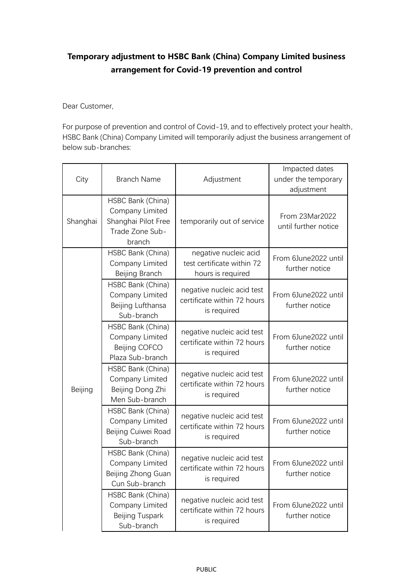## **Temporary adjustment to HSBC Bank (China) Company Limited business arrangement for Covid-19 prevention and control**

Dear Customer,

For purpose of prevention and control of Covid-19, and to effectively protect your health, HSBC Bank (China) Company Limited will temporarily adjust the business arrangement of below sub-branches:

| City     | <b>Branch Name</b>                                                                       | Adjustment                                                               | Impacted dates<br>under the temporary<br>adjustment |
|----------|------------------------------------------------------------------------------------------|--------------------------------------------------------------------------|-----------------------------------------------------|
| Shanghai | HSBC Bank (China)<br>Company Limited<br>Shanghai Pilot Free<br>Trade Zone Sub-<br>branch | temporarily out of service                                               | From 23Mar2022<br>until further notice              |
| Beijing  | HSBC Bank (China)<br>Company Limited<br>Beijing Branch                                   | negative nucleic acid<br>test certificate within 72<br>hours is required | From 6June2022 until<br>further notice              |
|          | HSBC Bank (China)<br>Company Limited<br>Beijing Lufthansa<br>Sub-branch                  | negative nucleic acid test<br>certificate within 72 hours<br>is required | From 6June2022 until<br>further notice              |
|          | HSBC Bank (China)<br>Company Limited<br>Beijing COFCO<br>Plaza Sub-branch                | negative nucleic acid test<br>certificate within 72 hours<br>is required | From 6June2022 until<br>further notice              |
|          | HSBC Bank (China)<br>Company Limited<br>Beijing Dong Zhi<br>Men Sub-branch               | negative nucleic acid test<br>certificate within 72 hours<br>is required | From 6June2022 until<br>further notice              |
|          | HSBC Bank (China)<br>Company Limited<br>Beijing Cuiwei Road<br>Sub-branch                | negative nucleic acid test<br>certificate within 72 hours<br>is required | From 6June2022 until<br>further notice              |
|          | HSBC Bank (China)<br>Company Limited<br>Beijing Zhong Guan<br>Cun Sub-branch             | negative nucleic acid test<br>certificate within 72 hours<br>is required | From 6June2022 until<br>further notice              |
|          | HSBC Bank (China)<br>Company Limited<br>Beijing Tuspark<br>Sub-branch                    | negative nucleic acid test<br>certificate within 72 hours<br>is required | From 6June2022 until<br>further notice              |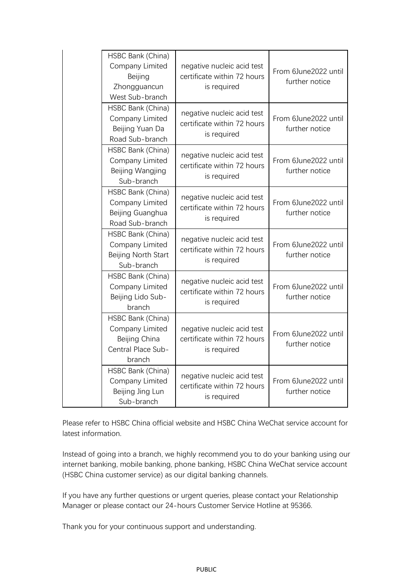| HSBC Bank (China)<br>Company Limited<br>Beijing<br>Zhongguancun<br>West Sub-branch    | negative nucleic acid test<br>certificate within 72 hours<br>is required | From 6June2022 until<br>further notice |
|---------------------------------------------------------------------------------------|--------------------------------------------------------------------------|----------------------------------------|
| HSBC Bank (China)<br>Company Limited<br>Beijing Yuan Da<br>Road Sub-branch            | negative nucleic acid test<br>certificate within 72 hours<br>is required | From 6June2022 until<br>further notice |
| HSBC Bank (China)<br>Company Limited<br>Beijing Wangjing<br>Sub-branch                | negative nucleic acid test<br>certificate within 72 hours<br>is required | From 6June2022 until<br>further notice |
| HSBC Bank (China)<br>Company Limited<br>Beijing Guanghua<br>Road Sub-branch           | negative nucleic acid test<br>certificate within 72 hours<br>is required | From 6June2022 until<br>further notice |
| HSBC Bank (China)<br>Company Limited<br>Beijing North Start<br>Sub-branch             | negative nucleic acid test<br>certificate within 72 hours<br>is required | From 6June2022 until<br>further notice |
| HSBC Bank (China)<br>Company Limited<br>Beijing Lido Sub-<br>branch                   | negative nucleic acid test<br>certificate within 72 hours<br>is required | From 6June2022 until<br>further notice |
| HSBC Bank (China)<br>Company Limited<br>Beijing China<br>Central Place Sub-<br>branch | negative nucleic acid test<br>certificate within 72 hours<br>is required | From 6June2022 until<br>further notice |
| HSBC Bank (China)<br>Company Limited<br>Beijing Jing Lun<br>Sub-branch                | negative nucleic acid test<br>certificate within 72 hours<br>is required | From 6June2022 until<br>further notice |

Please refer to HSBC China official website and HSBC China WeChat service account for latest information.

Instead of going into a branch, we highly recommend you to do your banking using our internet banking, mobile banking, phone banking, HSBC China WeChat service account (HSBC China customer service) as our digital banking channels.

If you have any further questions or urgent queries, please contact your Relationship Manager or please contact our 24-hours Customer Service Hotline at 95366.

Thank you for your continuous support and understanding.